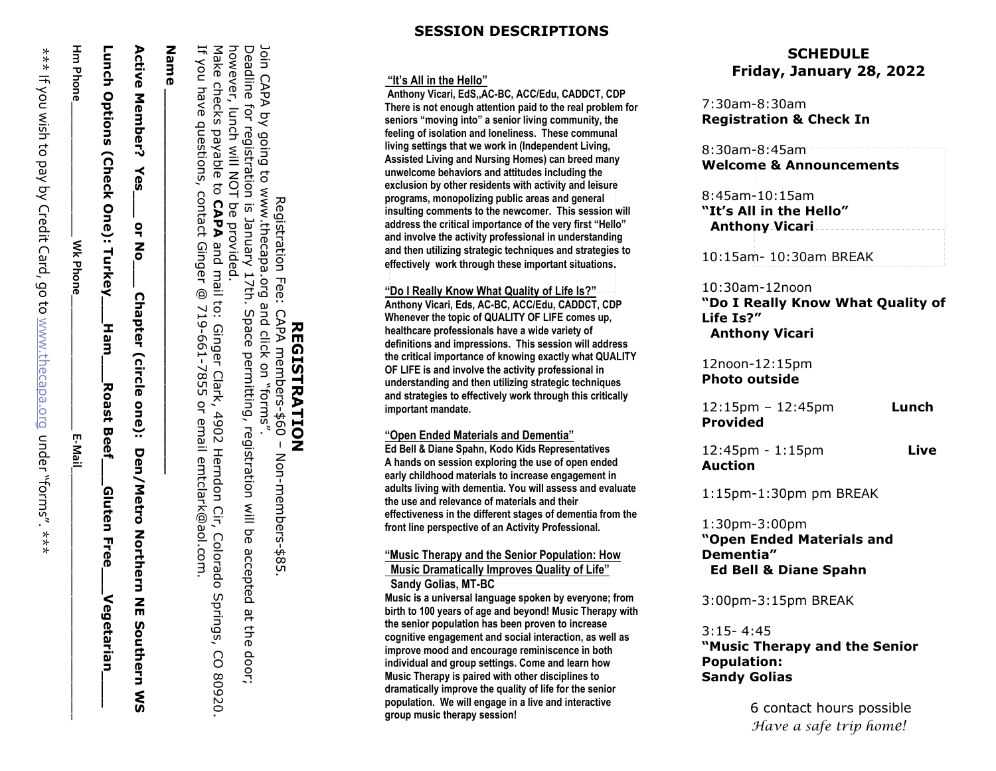Hm Phone **Hm Phone\_\_\_\_\_\_\_\_\_\_\_\_\_\_\_\_\_\_\_\_\_\_** Wk Phone **Wk Phone\_\_\_\_\_\_\_\_\_\_\_\_\_\_\_\_\_\_\_\_\_\_** E-Mail

Lunch Options (Check One): **Lunch Options (Check One):** Turkey Turkey\_\_\_Ham\_\_\_\_Roast Beef\_\_\_Gluten Free\_\_\_Vegetarian\_\_\_\_\_\_ **Ham** Roast **Beel** Gluten **Free** Vegetarian

≺ **Yes\_\_\_ or No\_\_\_ Chapter** <u>ტ</u>  $\frac{1}{2}$  $\mathbf{z}$ **Chapter** (circle **(circle one): Den/Metro Northern NE Southern WS** i one): Den/Metro Zorthern Zm Southern<br>WS

# **Active Member?**

# **Active Member?**

programs, monopolizing public areas and general<br>insulting comments to the newcomer. This session will

**SESSION DESCRIPTION S**

**Anthony Vicari , EdS ,,AC -BC, ACC/Edu, CADDCT, CDP There is not enough attention paid to the real problem for seniors "moving into" a senior living community, the feeling of isolation and loneliness. These communal living settings that we work in (Independent Living, Assisted Living and Nursing Homes) can breed many unwelcome behaviors and attitudes including the exclusion by other residents with activity and leisure programs, monopolizing public areas and general** 

**"It's All in the Hello "**

**important mandate.**

**REGISTRATION**

**REGISTRATION** 

Registration Fee: CAPA members-\$60

on

Deadline for registration is January 17th. Space permitting, registration will be accepted at the door;

"forms".

Join CAPA by going to www.thecapa.org and click

however,

lunch will NOT

Make checks payable to

If you have questions,

be provided.

**CAPA** 

contact Ginger

**Name \_\_\_\_\_\_\_\_\_\_\_\_\_\_\_\_\_\_\_\_\_\_\_\_\_\_\_\_\_\_\_\_\_\_\_\_\_\_\_\_\_\_\_**

Name

@

and mail to:

Ginger Clark, 4902 Herndon Cir,

719-661-7855 or email emtclark@aol.com.

Colorado Springs, CO 80920.

–

Non-members-\$85.

 **Sandy Golias, MT -BC**

**group music therapy session!**

**Welcome & Announcements** 

7:30am -8:30am

8:30am -8:45am

8:45am -10:15am

 **Anthony Vicari**

10:30am -12noon

 **Anthony Vicari** 

12noon -12:15pm **Photo outside** 

1:30pm -3:00pm

**Dementia"**

3:15 - 4:45

**Population: Sandy Golias** 

**Life Is? "**

**Provided** 

**Auction** 

**Registration & Check In**

**SCHEDULE Friday, January 2 8, 202 2**

8:45am-10:15am<br>**"It's All in the Hello"** 

10:15am- 10:30am BREAK

**"Do I Really Know What Quality of** 

12:15pm – 12:45pm **Lunch** 

12:45pm - 1:15pm **Live** 

1:15pm -1:30pm pm BREAK

**"Open Ended Materials and** 

**"Music Therap y and the Senior** 

6 contact hours possible *Have a safe trip home!*

 **Ed Bell & Diane Spahn**

3:00pm -3:15pm BREAK

address the childal importance of the very first Theno<br>and involve the activity professional in understanding<br>and then utilizing createria techniques and etrateries

**and then utilizing strategic techniques and strategies to** 

**address the critical importance of the very first "Hello"** 

effectively work through these important situations.

**"Do I Really Know What Quality of Life Is?" Anthony Vicari, Eds, AC -BC, ACC/Edu, CADDCT, CDP Whenever the topic of QUALITY OF LIFE comes up, healthcare professionals have a wide variety of definitions and impressions. This session will address the critical importance of knowing exactly what QUALITY OF LIFE is and involve the activity professional in understanding and then utilizing strategic techniques and strategies to effectively work through this critically**

**"Open Ended Materials and Dementia" Ed Bell & Diane Spahn, Kodo Kids Representatives A hands on session exploring the use of open ended early childhood materials to increase engagement in adults living with dementia. You will assess and evaluate** 

**the use and relevance of materials and their** 

**effectiveness in the different stages of dementia from the front line perspective of an Activity Professional.**

**"Music Therapy and the Senior Population: How Music Dramatically Improves Quality of Life"** 

**Music is a universal language spoken by everyone; from birth to 100 years of age and beyond! Music Therapy with the senior population has been proven to increase cognitive engagement and social interaction, as well as improve mood and encourage reminiscence in both individual and group settings. Come and learn how Music Therapy is paired with other disciplines to dramatically improve the quality of life for the senior population. We will engage in a live and interactive**